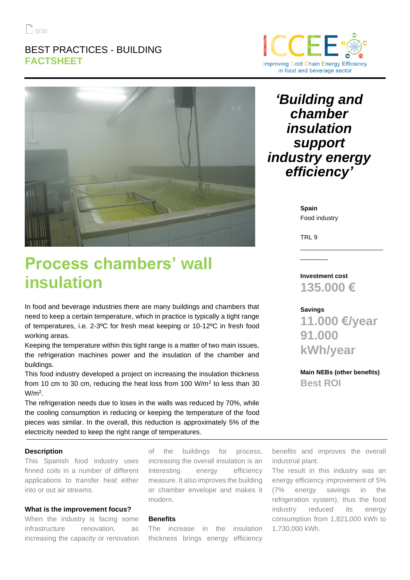### BEST PRACTICES - BUILDING **FACTSHEET**



# **Process chambers' wall insulation**

In food and beverage industries there are many buildings and chambers that need to keep a certain temperature, which in practice is typically a tight range of temperatures, i.e. 2-3ºC for fresh meat keeping or 10-12ºC in fresh food working areas.

Keeping the temperature within this tight range is a matter of two main issues, the refrigeration machines power and the insulation of the chamber and buildings.

This food industry developed a project on increasing the insulation thickness from 10 cm to 30 cm, reducing the heat loss from 100  $W/m^2$  to less than 30  $W/m<sup>2</sup>$ .

The refrigeration needs due to loses in the walls was reduced by 70%, while the cooling consumption in reducing or keeping the temperature of the food pieces was similar. In the overall, this reduction is approximately 5% of the electricity needed to keep the right range of temperatures.

### **Description**

This Spanish food industry uses finned coils in a number of different applications to transfer heat either into or out air streams.

### **What is the improvement focus?**

When the industry is facing some infrastructure renovation, as increasing the capacity or renovation of the buildings for process, increasing the overall insulation is an interesting energy efficiency measure. It also improves the building or chamber envelope and makes it modern.

### **Benefits**

The increase in the insulation thickness brings energy efficiency



## *'Building and chamber insulation support industry energy efficiency'*

**Spain** Food industry

TRL 9

 $\overline{\phantom{a}}$  . The contract of the contract of the contract of the contract of the contract of the contract of the contract of the contract of the contract of the contract of the contract of the contract of the contract of

**Investment cost 135.000 €**

#### **Savings**

**11.000 €/year 91.000 kWh/year**

\_\_\_\_\_\_\_\_\_\_\_\_\_\_\_\_\_\_\_\_\_\_\_\_

**Main NEBs (other benefits) Best ROI** 

benefits and improves the overall industrial plant.

The result in this industry was an energy efficiency improvement of 5% (7% energy savings in the refrigeration system), thus the food industry reduced its energy consumption from 1,821,000 kWh to 1,730,000 kWh.